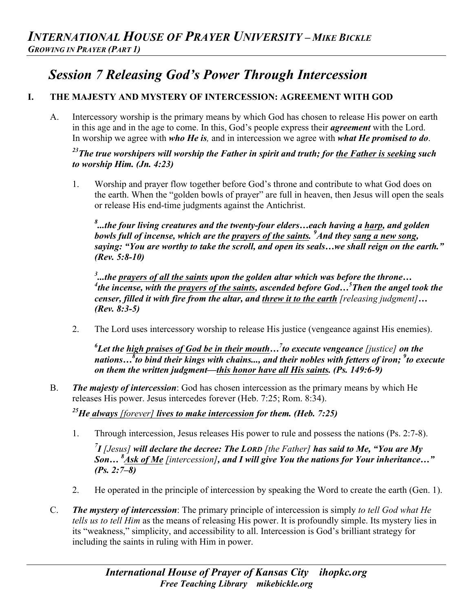# *Session 7 Releasing God's Power Through Intercession*

## **I. THE MAJESTY AND MYSTERY OF INTERCESSION: AGREEMENT WITH GOD**

A. Intercessory worship is the primary means by which God has chosen to release His power on earth in this age and in the age to come. In this, God's people express their *agreement* with the Lord. In worship we agree with *who He is,* and in intercession we agree with *what He promised to do*.

## *23The true worshipers will worship the Father in spirit and truth; for the Father is seeking such to worship Him. (Jn. 4:23)*

1. Worship and prayer flow together before God's throne and contribute to what God does on the earth. When the "golden bowls of prayer" are full in heaven, then Jesus will open the seals or release His end-time judgments against the Antichrist.

*8 ...the four living creatures and the twenty-four elders…each having a harp, and golden bowls full of incense, which are the prayers of the saints. 9 And they sang a new song, saying: "You are worthy to take the scroll, and open its seals…we shall reign on the earth." (Rev. 5:8-10)*

<sup>3</sup> ...the <u>prayers of all the saints</u> upon the golden altar which was before the throne...<br><sup>4</sup>the inconse, with the prayers of the saints, ascended before Cod. <sup>5</sup>Then the angel *the incense, with the prayers of the saints, ascended before God…5 Then the angel took the censer, filled it with fire from the altar, and threw it to the earth [releasing judgment]… (Rev. 8:3-5)*

2. The Lord uses intercessory worship to release His justice (vengeance against His enemies).

*6 Let the high praises of God be in their mouth…7 to execute vengeance [justice] on the nations…8 to bind their kings with chains..., and their nobles with fetters of iron; <sup>9</sup> to execute on them the written judgment—this honor have all His saints. (Ps. 149:6-9)*

B. *The majesty of intercession*: God has chosen intercession as the primary means by which He releases His power. Jesus intercedes forever (Heb. 7:25; Rom. 8:34).

*25He always [forever] lives to make intercession for them. (Heb. 7:25)* 

1. Through intercession, Jesus releases His power to rule and possess the nations (Ps. 2:7-8).

*7 I [Jesus] will declare the decree: The LORD [the Father] has said to Me, "You are My Son… 8 Ask of Me [intercession], and I will give You the nations for Your inheritance…" (Ps. 2:7–8)*

- 2. He operated in the principle of intercession by speaking the Word to create the earth (Gen. 1).
- C. *The mystery of intercession*: The primary principle of intercession is simply *to tell God what He tells us to tell Him* as the means of releasing His power. It is profoundly simple. Its mystery lies in its "weakness," simplicity, and accessibility to all. Intercession is God's brilliant strategy for including the saints in ruling with Him in power.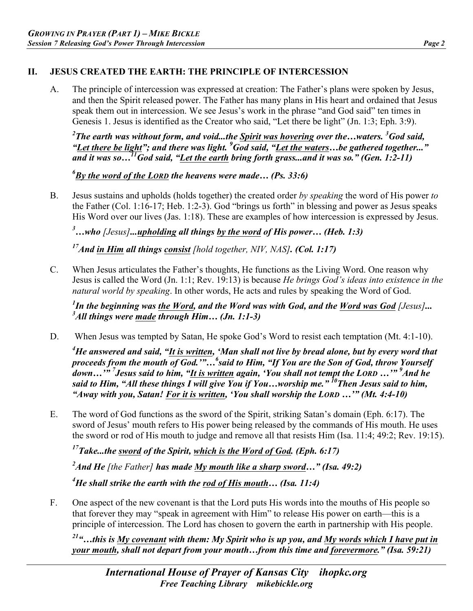#### **II. JESUS CREATED THE EARTH: THE PRINCIPLE OF INTERCESSION**

A. The principle of intercession was expressed at creation: The Father's plans were spoken by Jesus, and then the Spirit released power. The Father has many plans in His heart and ordained that Jesus speak them out in intercession. We see Jesus's work in the phrase "and God said" ten times in Genesis 1. Jesus is identified as the Creator who said, "Let there be light" (Jn. 1:3; Eph. 3:9).

*2 The earth was without form, and void...the Spirit was hovering over the…waters. <sup>3</sup> God said, "Let there be light"; and there was light. 9 God said, "Let the waters…be gathered together..." and it was so…11God said, "Let the earth bring forth grass...and it was so." (Gen. 1:2-11)* 

*6 By the word of the LORD the heavens were made… (Ps. 33:6)*

B. Jesus sustains and upholds (holds together) the created order *by speaking* the word of His power *to* the Father (Col. 1:16-17; Heb. 1:2-3). God "brings us forth" in blessing and power as Jesus speaks His Word over our lives (Jas. 1:18). These are examples of how intercession is expressed by Jesus.

*3 …who [Jesus]...upholding all things by the word of His power… (Heb. 1:3)* 

*17And in Him all things consist [hold together, NIV, NAS]. (Col. 1:17)*

C. When Jesus articulates the Father's thoughts, He functions as the Living Word. One reason why Jesus is called the Word (Jn. 1:1; Rev. 19:13) is because *He brings God's ideas into existence in the natural world by speaking*. In other words, He acts and rules by speaking the Word of God.

*1 In the beginning was the Word, and the Word was with God, and the Word was God [Jesus]... <sup>3</sup> All things were made through Him… (Jn. 1:1-3)* 

D. When Jesus was tempted by Satan, He spoke God's Word to resist each temptation (Mt. 4:1-10).

*4 He answered and said, "It is written, 'Man shall not live by bread alone, but by every word that proceeds from the mouth of God.'"…<sup>6</sup> said to Him, "If You are the Son of God, throw Yourself down…'" 7 Jesus said to him, "It is written again, 'You shall not tempt the LORD …'" <sup>9</sup> And he*  said to Him, "All these things I will give You if You...worship me."<sup>10</sup>Then Jesus said to him, *"Away with you, Satan! For it is written, 'You shall worship the LORD …'" (Mt. 4:4-10)* 

E. The word of God functions as the sword of the Spirit, striking Satan's domain (Eph. 6:17). The sword of Jesus' mouth refers to His power being released by the commands of His mouth. He uses the sword or rod of His mouth to judge and remove all that resists Him (Isa. 11:4; 49:2; Rev. 19:15).

*17Take...the sword of the Spirit, which is the Word of God. (Eph. 6:17)* 

*2 And He [the Father] has made My mouth like a sharp sword…" (Isa. 49:2)*

*4 He shall strike the earth with the rod of His mouth… (Isa. 11:4)* 

F. One aspect of the new covenant is that the Lord puts His words into the mouths of His people so that forever they may "speak in agreement with Him" to release His power on earth—this is a principle of intercession. The Lord has chosen to govern the earth in partnership with His people.

*21"…this is My covenant with them: My Spirit who is up you, and My words which I have put in your mouth, shall not depart from your mouth…from this time and forevermore." (Isa. 59:21)*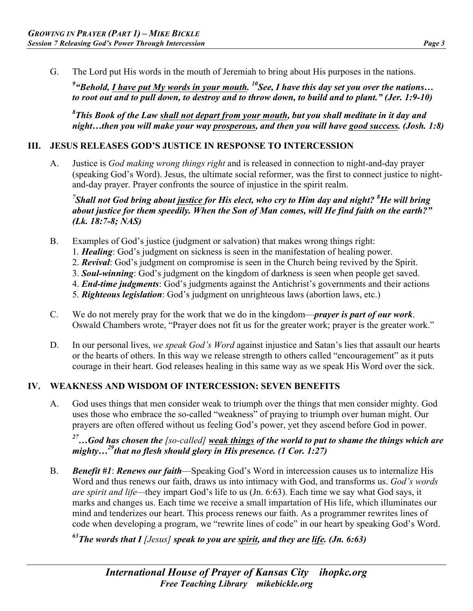G. The Lord put His words in the mouth of Jeremiah to bring about His purposes in the nations.

<sup>9</sup> "Behold, <u>I have put My words in your mouth.</u> <sup>10</sup>See, I have this day set you over the nations... *to root out and to pull down, to destroy and to throw down, to build and to plant." (Jer. 1:9-10)*

*8 This Book of the Law shall not depart from your mouth, but you shall meditate in it day and night…then you will make your way prosperous, and then you will have good success. (Josh. 1:8)*

#### **III. JESUS RELEASES GOD'S JUSTICE IN RESPONSE TO INTERCESSION**

A. Justice is *God making wrong things right* and is released in connection to night-and-day prayer (speaking God's Word). Jesus, the ultimate social reformer, was the first to connect justice to nightand-day prayer. Prayer confronts the source of injustice in the spirit realm.

*7 Shall not God bring about justice for His elect, who cry to Him day and night? <sup>8</sup> He will bring about justice for them speedily. When the Son of Man comes, will He find faith on the earth?" (Lk. 18:7-8; NAS)* 

- B. Examples of God's justice (judgment or salvation) that makes wrong things right:
	- 1*. Healing*: God's judgment on sickness is seen in the manifestation of healing power.
	- 2. *Revival*: God's judgment on compromise is seen in the Church being revived by the Spirit.
	- 3. *Soul-winning*: God's judgment on the kingdom of darkness is seen when people get saved.
	- 4. *End-time judgments*: God's judgments against the Antichrist's governments and their actions
	- 5. *Righteous legislation*: God's judgment on unrighteous laws (abortion laws, etc.)
- C. We do not merely pray for the work that we do in the kingdom—*prayer is part of our work*. Oswald Chambers wrote, "Prayer does not fit us for the greater work; prayer is the greater work."
- D. In our personal lives, *we speak God's Word* against injustice and Satan's lies that assault our hearts or the hearts of others. In this way we release strength to others called "encouragement" as it puts courage in their heart. God releases healing in this same way as we speak His Word over the sick.

#### **IV. WEAKNESS AND WISDOM OF INTERCESSION: SEVEN BENEFITS**

A. God uses things that men consider weak to triumph over the things that men consider mighty. God uses those who embrace the so-called "weakness" of praying to triumph over human might. Our prayers are often offered without us feeling God's power, yet they ascend before God in power.

## *27…God has chosen the [so-called] weak things of the world to put to shame the things which are mighty…29that no flesh should glory in His presence. (1 Cor. 1:27)*

B. *Benefit #1*: *Renews our faith*—Speaking God's Word in intercession causes us to internalize His Word and thus renews our faith, draws us into intimacy with God, and transforms us. *God's words are spirit and life—*they impart God's life to us (Jn. 6:63). Each time we say what God says, it marks and changes us. Each time we receive a small impartation of His life, which illuminates our mind and tenderizes our heart. This process renews our faith. As a programmer rewrites lines of code when developing a program, we "rewrite lines of code" in our heart by speaking God's Word.

*63The words that I [Jesus] speak to you are spirit, and they are life. (Jn. 6:63)*